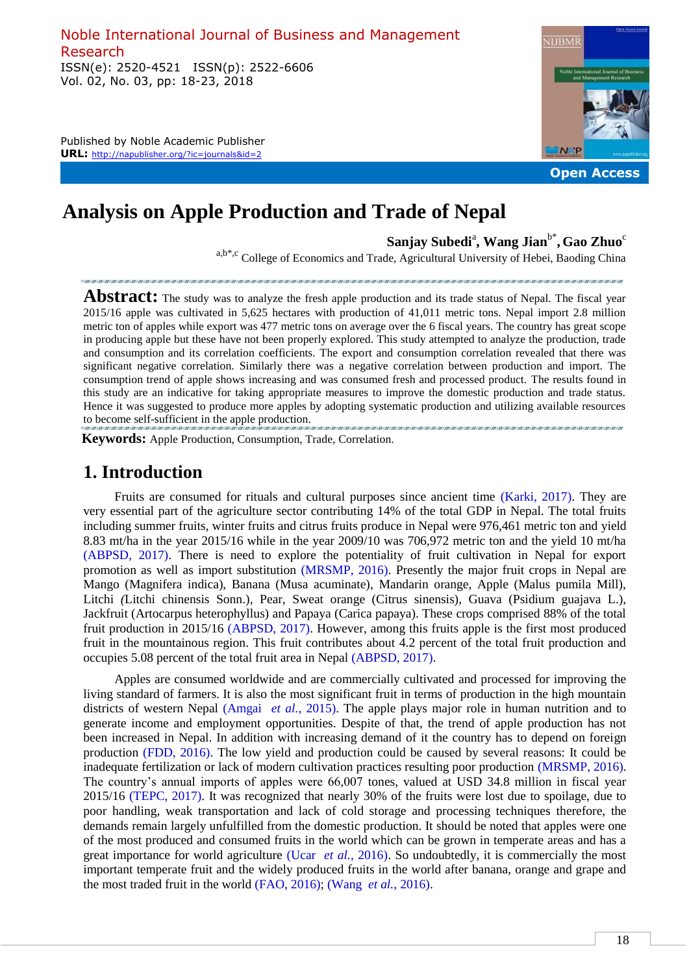Noble International Journal of Business and Management Research ISSN(e): 2520-4521 ISSN(p): 2522-6606 Vol. 02, No. 03, pp: 18-23, 2018

Published by Noble Academic Publisher **URL:** http://napublisher.org/?ic=journals&id=2



# **Analysis on Apple Production and Trade of Nepal**

 $\mathbf{Sanjay}\ \mathbf{Subedi}^{\mathrm{a}},\ \mathbf{Wang}\ \mathbf{Jian}^{\mathrm{b}^{\mathrm{*}}},\ \mathbf{Gao}\ \mathbf{Zhuo}^{\mathrm{c}}$ 

a,b\*,c College of Economics and Trade, Agricultural University of Hebei, Baoding China

Abstract: The study was to analyze the fresh apple production and its trade status of Nepal. The fiscal year 2015/16 apple was cultivated in 5,625 hectares with production of 41,011 metric tons. Nepal import 2.8 million metric ton of apples while export was 477 metric tons on average over the 6 fiscal years. The country has great scope in producing apple but these have not been properly explored. This study attempted to analyze the production, trade and consumption and its correlation coefficients. The export and consumption correlation revealed that there was significant negative correlation. Similarly there was a negative correlation between production and import. The consumption trend of apple shows increasing and was consumed fresh and processed product. The results found in this study are an indicative for taking appropriate measures to improve the domestic production and trade status. Hence it was suggested to produce more apples by adopting systematic production and utilizing available resources to become self-sufficient in the apple production.

 **Keywords:** Apple Production, Consumption, Trade, Correlation.

#### **1. Introduction**

Fruits are consumed for rituals and cultural purposes since ancient time (Karki, 2017). They are very essential part of the agriculture sector contributing 14% of the total GDP in Nepal. The total fruits including summer fruits, winter fruits and citrus fruits produce in Nepal were 976,461 metric ton and yield 8.83 mt/ha in the year 2015/16 while in the year 2009/10 was 706,972 metric ton and the yield 10 mt/ha (ABPSD, 2017). There is need to explore the potentiality of fruit cultivation in Nepal for export promotion as well as import substitution (MRSMP, 2016). Presently the major fruit crops in Nepal are Mango (Magnifera indica), Banana (Musa acuminate), Mandarin orange, Apple (Malus pumila Mill), Litchi *(*Litchi chinensis Sonn.), Pear, Sweat orange (Citrus sinensis), Guava (Psidium guajava L.), Jackfruit (Artocarpus heterophyllus) and Papaya (Carica papaya). These crops comprised 88% of the total fruit production in 2015/16 (ABPSD, 2017). However, among this fruits apple is the first most produced fruit in the mountainous region. This fruit contributes about 4.2 percent of the total fruit production and occupies 5.08 percent of the total fruit area in Nepal (ABPSD, 2017).

Apples are consumed worldwide and are commercially cultivated and processed for improving the living standard of farmers. It is also the most significant fruit in terms of production in the high mountain districts of western Nepal (Amgai *et al.*, 2015). The apple plays major role in human nutrition and to generate income and employment opportunities. Despite of that, the trend of apple production has not been increased in Nepal. In addition with increasing demand of it the country has to depend on foreign production (FDD, 2016). The low yield and production could be caused by several reasons: It could be inadequate fertilization or lack of modern cultivation practices resulting poor production (MRSMP, 2016). The country's annual imports of apples were 66,007 tones, valued at USD 34.8 million in fiscal year 2015/16 (TEPC, 2017). It was recognized that nearly 30% of the fruits were lost due to spoilage, due to poor handling, weak transportation and lack of cold storage and processing techniques therefore, the demands remain largely unfulfilled from the domestic production. It should be noted that apples were one of the most produced and consumed fruits in the world which can be grown in temperate areas and has a great importance for world agriculture (Ucar *et al.*, 2016). So undoubtedly, it is commercially the most important temperate fruit and the widely produced fruits in the world after banana, orange and grape and the most traded fruit in the world (FAO, 2016); (Wang *et al.*, 2016).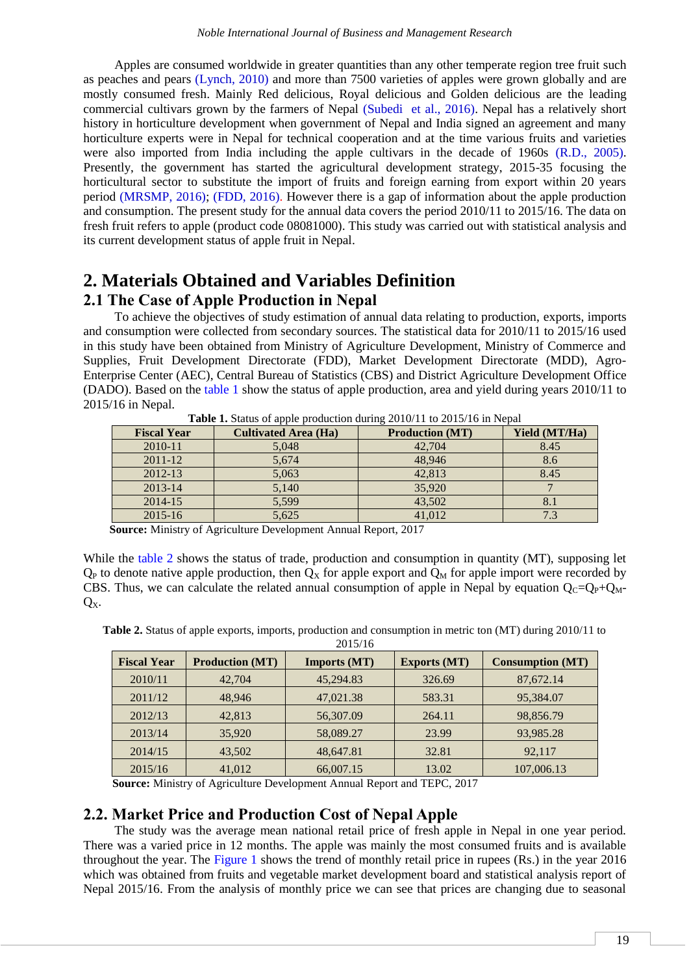Apples are consumed worldwide in greater quantities than any other temperate region tree fruit such as peaches and pears [\(Lynch, 2010\)](#page-5-0) and more than 7500 varieties of apples were grown globally and are mostly consumed fresh. Mainly Red delicious, Royal delicious and Golden delicious are the leading commercial cultivars grown by the farmers of Nepal [\(Subedi et al., 2016\)](#page-5-1). Nepal has a relatively short history in horticulture development when government of Nepal and India signed an agreement and many horticulture experts were in Nepal for technical cooperation and at the time various fruits and varieties were also imported from India including the apple cultivars in the decade of 1960s [\(R.D., 2005\)](#page-5-2). Presently, the government has started the agricultural development strategy, 2015-35 focusing the horticultural sector to substitute the import of fruits and foreign earning from export within 20 years period [\(MRSMP, 2016\)](#page-5-3); [\(FDD, 2016\)](#page-5-4). However there is a gap of information about the apple production and consumption. The present study for the annual data covers the period 2010/11 to 2015/16. The data on fresh fruit refers to apple (product code 08081000). This study was carried out with statistical analysis and its current development status of apple fruit in Nepal.

### **2. Materials Obtained and Variables Definition 2.1 The Case of Apple Production in Nepal**

To achieve the objectives of study estimation of annual data relating to production, exports, imports and consumption were collected from secondary sources. The statistical data for 2010/11 to 2015/16 used in this study have been obtained from Ministry of Agriculture Development, Ministry of Commerce and Supplies, Fruit Development Directorate (FDD), Market Development Directorate (MDD), Agro-Enterprise Center (AEC), Central Bureau of Statistics (CBS) and District Agriculture Development Office (DADO). Based on the [table 1](#page-1-0) show the status of apple production, area and yield during years 2010/11 to 2015/16 in Nepal.

<span id="page-1-0"></span>

| <b>Fiscal Year</b> | <b>Cultivated Area (Ha)</b> | <b>Production (MT)</b> | <b>Yield (MT/Ha)</b> |
|--------------------|-----------------------------|------------------------|----------------------|
| 2010-11            | 5,048                       | 42,704                 | 8.45                 |
| 2011-12            | 5,674                       | 48,946                 | 8.6                  |
| 2012-13            | 5,063                       | 42,813                 | 8.45                 |
| 2013-14            | 5,140                       | 35,920                 |                      |
| 2014-15            | 5,599                       | 43,502                 |                      |
| $2015 - 16$        | 5,625                       | 41,012                 |                      |

**Table 1.** Status of apple production during 2010/11 to 2015/16 in Nepal

**Source:** Ministry of Agriculture Development Annual Report, 2017

While the [table 2](#page-1-1) shows the status of trade, production and consumption in quantity (MT), supposing let  $Q_P$  to denote native apple production, then  $Q_X$  for apple export and  $Q_M$  for apple import were recorded by CBS. Thus, we can calculate the related annual consumption of apple in Nepal by equation  $Q_C=Q_P+Q_M$ - $O_{X}$ .

<span id="page-1-1"></span>**Table 2.** Status of apple exports, imports, production and consumption in metric ton (MT) during 2010/11 to 2015/16

| <b>Fiscal Year</b> | <b>Production (MT)</b> | Imports (MT) | <b>Exports (MT)</b> | <b>Consumption (MT)</b> |  |
|--------------------|------------------------|--------------|---------------------|-------------------------|--|
| 2010/11            | 42,704                 | 45,294.83    | 326.69              | 87,672.14               |  |
| 2011/12            | 48.946                 | 47,021.38    | 583.31              | 95,384.07               |  |
| 2012/13            | 42,813                 | 56,307.09    | 264.11              | 98,856.79               |  |
| 2013/14            | 35,920                 | 58,089.27    | 23.99               | 93,985.28               |  |
| 2014/15            | 43,502                 | 48,647.81    | 32.81               | 92,117                  |  |
| 2015/16            | 41,012                 | 66,007.15    | 13.02               | 107,006.13              |  |

**Source:** Ministry of Agriculture Development Annual Report and TEPC, 2017

#### **2.2. Market Price and Production Cost of Nepal Apple**

The study was the average mean national retail price of fresh apple in Nepal in one year period. There was a varied price in 12 months. The apple was mainly the most consumed fruits and is available throughout the year. The [Figure](#page-2-0) 1 shows the trend of monthly retail price in rupees (Rs.) in the year 2016 which was obtained from fruits and vegetable market development board and statistical analysis report of Nepal 2015/16. From the analysis of monthly price we can see that prices are changing due to seasonal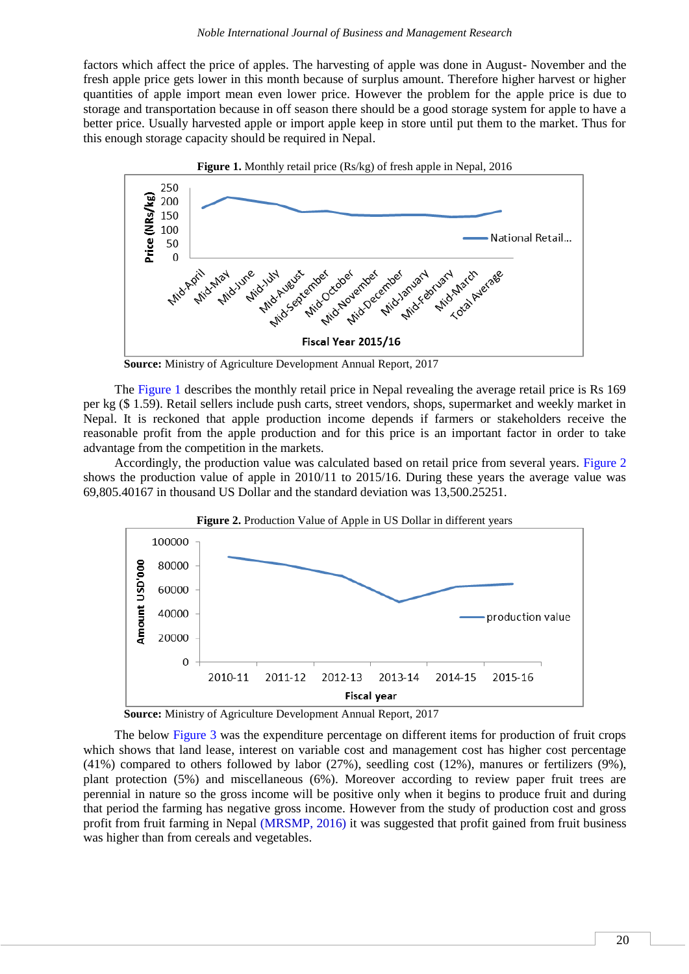factors which affect the price of apples. The harvesting of apple was done in August- November and the fresh apple price gets lower in this month because of surplus amount. Therefore higher harvest or higher quantities of apple import mean even lower price. However the problem for the apple price is due to storage and transportation because in off season there should be a good storage system for apple to have a better price. Usually harvested apple or import apple keep in store until put them to the market. Thus for this enough storage capacity should be required in Nepal.

<span id="page-2-0"></span>

 **Source:** Ministry of Agriculture Development Annual Report, 2017

The [Figure 1](#page-2-0) describes the monthly retail price in Nepal revealing the average retail price is Rs 169 per kg (\$ 1.59). Retail sellers include push carts, street vendors, shops, supermarket and weekly market in Nepal. It is reckoned that apple production income depends if farmers or stakeholders receive the reasonable profit from the apple production and for this price is an important factor in order to take advantage from the competition in the markets.

Accordingly, the production value was calculated based on retail price from several years. [Figure 2](#page-2-1) shows the production value of apple in 2010/11 to 2015/16. During these years the average value was 69,805.40167 in thousand US Dollar and the standard deviation was 13,500.25251.

<span id="page-2-1"></span>

 **Source:** Ministry of Agriculture Development Annual Report, 2017

The below [Figure 3](#page-3-0) was the expenditure percentage on different items for production of fruit crops which shows that land lease, interest on variable cost and management cost has higher cost percentage (41%) compared to others followed by labor (27%), seedling cost (12%), manures or fertilizers (9%), plant protection (5%) and miscellaneous (6%). Moreover according to review paper fruit trees are perennial in nature so the gross income will be positive only when it begins to produce fruit and during that period the farming has negative gross income. However from the study of production cost and gross profit from fruit farming in Nepal [\(MRSMP, 2016\)](#page-5-3) it was suggested that profit gained from fruit business was higher than from cereals and vegetables.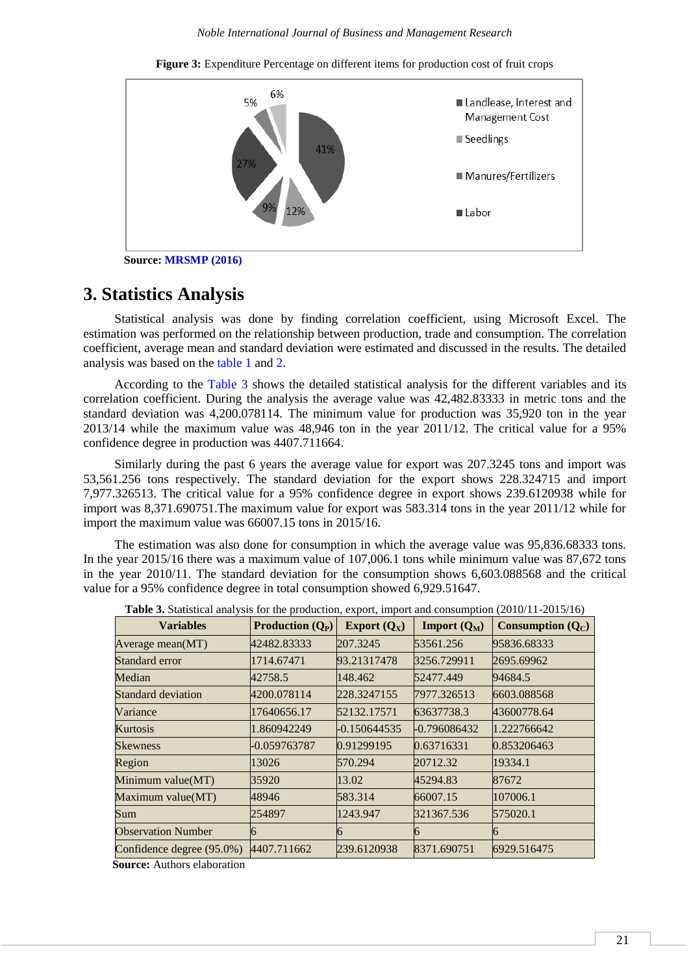**Figure 3:** Expenditure Percentage on different items for production cost of fruit crops

<span id="page-3-0"></span>

 **Source: [MRSMP \(2016\)](#page-5-3)**

## **3. Statistics Analysis**

Statistical analysis was done by finding correlation coefficient, using Microsoft Excel. The estimation was performed on the relationship between production, trade and consumption. The correlation coefficient, average mean and standard deviation were estimated and discussed in the results. The detailed analysis was based on the [table 1](#page-1-0) and [2.](#page-1-1)

According to the [Table 3](#page-3-1) shows the detailed statistical analysis for the different variables and its correlation coefficient. During the analysis the average value was 42,482.83333 in metric tons and the standard deviation was 4,200.078114. The minimum value for production was 35,920 ton in the year 2013/14 while the maximum value was 48,946 ton in the year 2011/12. The critical value for a 95% confidence degree in production was 4407.711664.

Similarly during the past 6 years the average value for export was 207.3245 tons and import was 53,561.256 tons respectively. The standard deviation for the export shows 228.324715 and import 7,977.326513. The critical value for a 95% confidence degree in export shows 239.6120938 while for import was 8,371.690751.The maximum value for export was 583.314 tons in the year 2011/12 while for import the maximum value was 66007.15 tons in 2015/16.

The estimation was also done for consumption in which the average value was 95,836.68333 tons. In the year 2015/16 there was a maximum value of 107,006.1 tons while minimum value was 87,672 tons in the year 2010/11. The standard deviation for the consumption shows 6,603.088568 and the critical value for a 95% confidence degree in total consumption showed 6,929.51647.

<span id="page-3-1"></span>

| <b>Variables</b>          | <b>Production</b> $(Q_P)$ | Export $(Q_X)$ | Import $(Q_M)$ | Consumption $(Q_C)$ |
|---------------------------|---------------------------|----------------|----------------|---------------------|
| Average mean(MT)          | 42482.83333               | 207.3245       | 53561.256      | 95836.68333         |
| Standard error            | 1714.67471                | 93.21317478    | 3256.729911    | 2695.69962          |
| Median                    | 42758.5                   | 148.462        | 52477.449      | 94684.5             |
| <b>Standard deviation</b> | 4200.078114               | 228.3247155    | 7977.326513    | 6603.088568         |
| Variance                  | 17640656.17               | 52132.17571    | 63637738.3     | 43600778.64         |
| Kurtosis                  | 1.860942249               | $-0.150644535$ | -0.796086432   | 1.222766642         |
| <b>Skewness</b>           | -0.059763787              | 0.91299195     | 0.63716331     | 0.853206463         |
| Region                    | 13026                     | 570.294        | 20712.32       | 19334.1             |
| Minimum value(MT)         | 35920                     | 13.02          | 45294.83       | 87672               |
| Maximum value(MT)         | 48946                     | 583.314        | 66007.15       | 107006.1            |
| Sum                       | 254897                    | 1243.947       | 321367.536     | 575020.1            |
| <b>Observation Number</b> | 6                         |                | h              | Ю                   |
| Confidence degree (95.0%) | 4407.711662               | 239.6120938    | 8371.690751    | 6929.516475         |

**Source:** Authors elaboration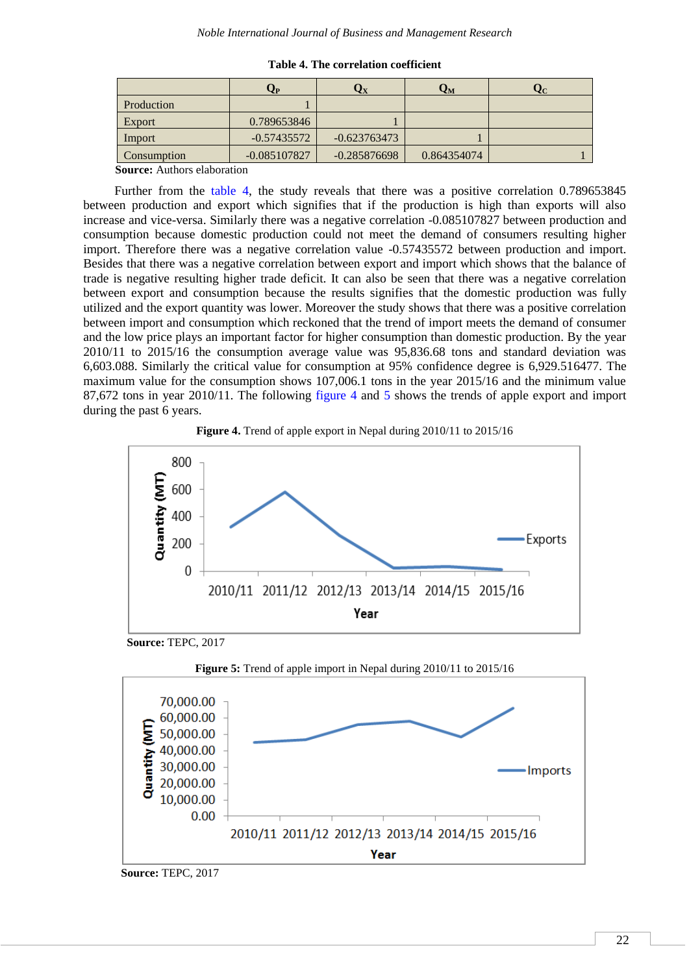<span id="page-4-0"></span>

|             | Ųр             | $\mathbf{Q}_\mathbf{X}$ | Qм          | ₹C. |
|-------------|----------------|-------------------------|-------------|-----|
| Production  |                |                         |             |     |
| Export      | 0.789653846    |                         |             |     |
| Import      | $-0.57435572$  | $-0.623763473$          |             |     |
| Consumption | $-0.085107827$ | $-0.285876698$          | 0.864354074 |     |

**Table 4. The correlation coefficient**

**Source:** Authors elaboration

Further from the [table 4,](#page-4-0) the study reveals that there was a positive correlation 0.789653845 between production and export which signifies that if the production is high than exports will also increase and vice-versa. Similarly there was a negative correlation -0.085107827 between production and consumption because domestic production could not meet the demand of consumers resulting higher import. Therefore there was a negative correlation value -0.57435572 between production and import. Besides that there was a negative correlation between export and import which shows that the balance of trade is negative resulting higher trade deficit. It can also be seen that there was a negative correlation between export and consumption because the results signifies that the domestic production was fully utilized and the export quantity was lower. Moreover the study shows that there was a positive correlation between import and consumption which reckoned that the trend of import meets the demand of consumer and the low price plays an important factor for higher consumption than domestic production. By the year 2010/11 to 2015/16 the consumption average value was 95,836.68 tons and standard deviation was 6,603.088. Similarly the critical value for consumption at 95% confidence degree is 6,929.516477. The maximum value for the consumption shows 107,006.1 tons in the year 2015/16 and the minimum value 87,672 tons in year 2010/11. The following [figure 4](#page-4-1) and [5](#page-4-2) shows the trends of apple export and import during the past 6 years.



<span id="page-4-1"></span>



<span id="page-4-2"></span>



**Source:** TEPC, 2017